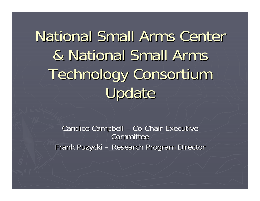National Small Arms Center & National Small Arms Technology Consortium Technology Consortium Update

> Candice Campbell  $\cdot$ – Co-Chair Executive Committee Frank Puzycki – Research Program Director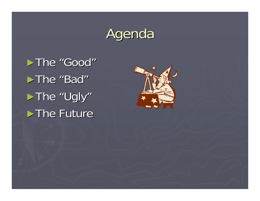## Agenda

►The "Good"  $\blacktriangleright$ The "Bad" ► The "Ugly"  $\blacktriangleright$  The Future

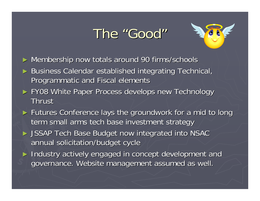### The "Good"



- ► Membership now totals around 90 firms/schools
- ► Business Calendar established integrating Technical, Programmatic and Fiscal elements
- ► FY08 White Paper Process develops new Technology **Thrust**
- ► Futures Conference lays the groundwork for a mid to long term small arms tech base investment strategy
- ► JSSAP Tech Base Budget now integrated into NSAC annual solicitation/budget cycle
- ► Industry actively engaged in concept development and governance. Website management assumed as well.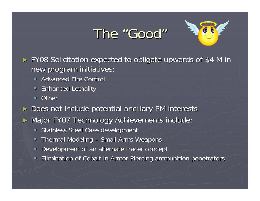## The "Good"



► FY08 Solicitation expected to obligate upwards of \$4 M in new program initiatives:

- **Advanced Fire Control**
- $\blacksquare$ **Enhanced Lethality**
- $\blacksquare$ **Other**

► Does not include potential ancillary PM interests

► Major FY07 Technology Achievements include:

- $\blacksquare$ Stainless Steel Case development
- $\blacksquare$ Thermal Modeling – Small Arms Weapons
- $\blacksquare$ Development of an alternate tracer concept
- $\blacksquare$ Elimination of Cobalt in Armor Piercing ammunition penetrators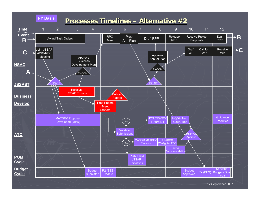**FY Basis**

### **Processes Timelines Processes Timelines – Alternative #2 Alternative #2**



12 September 2007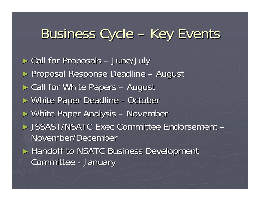#### Business Cycle –– Key Events

► Call for Proposals – June/July ► Proposal Response Deadline August ► Call for White Papers August ► White Paper Deadline - October ► White Paper Analysis – November ► JSSAST/NSATC Exec Committee Endorsement -November/December ► Handoff to NSATC Business Development Committee -- January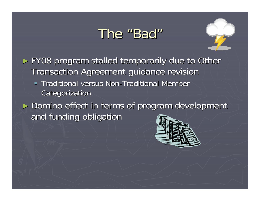### The "Bad"



► FY08 program stalled temporarily due to Other Transaction Agreement guidance revision

**Traditional versus Non-Traditional Member Instance Instance Instance Instance Instance Instance Instance Instance I Categorization** 

► Domino effect in terms of program development and funding obligation

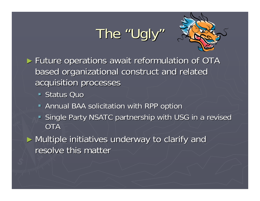## The "Ugly"



► Future operations await reformulation of OTA based organizational construct and related based organizational construct and related acquisition processes

■ Status Quo

- **Annual BAA solicitation with RPP option**
- Single Party NSATC partnership with USG in a revised **OTA**

► Multiple initiatives underway to clarify and resolve this matter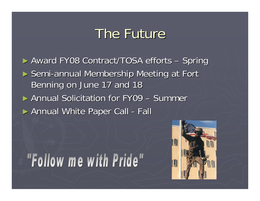### The Future

► Award FY08 Contract/TOSA efforts – Spring ► Semi-annual Membership Meeting at Fort Benning on June 17 and 18 ► Annual Solicitation for FY09 – Summer ► Annual White Paper Call - Fall

# "Follow me with Pride"